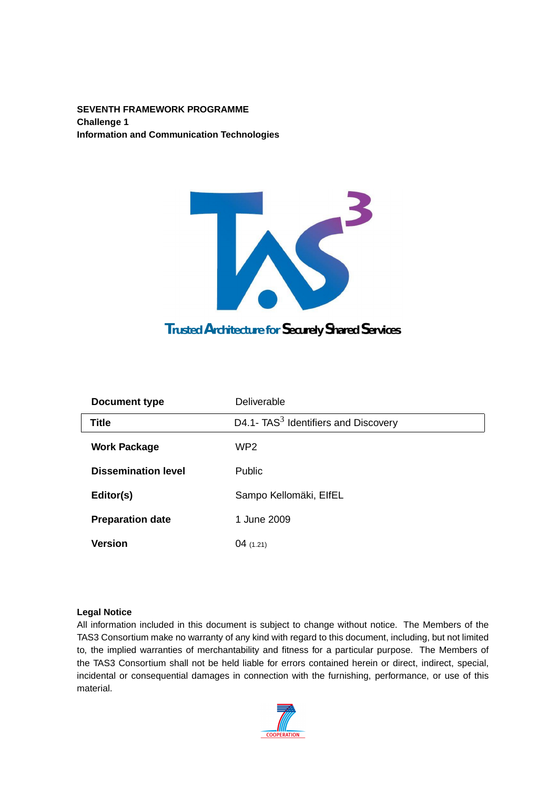**SEVENTH FRAMEWORK PROGRAMME Challenge 1 Information and Communication Technologies**



| Document type              | Deliverable                                      |
|----------------------------|--------------------------------------------------|
| <b>Title</b>               | D4.1- TAS <sup>3</sup> Identifiers and Discovery |
| <b>Work Package</b>        | WP <sub>2</sub>                                  |
| <b>Dissemination level</b> | Public                                           |
| Editor(s)                  | Sampo Kellomäki, ElfEL                           |
| <b>Preparation date</b>    | 1 June 2009                                      |
| <b>Version</b>             | 04(1.21)                                         |

#### **Legal Notice**

All information included in this document is subject to change without notice. The Members of the TAS3 Consortium make no warranty of any kind with regard to this document, including, but not limited to, the implied warranties of merchantability and fitness for a particular purpose. The Members of the TAS3 Consortium shall not be held liable for errors contained herein or direct, indirect, special, incidental or consequential damages in connection with the furnishing, performance, or use of this material.

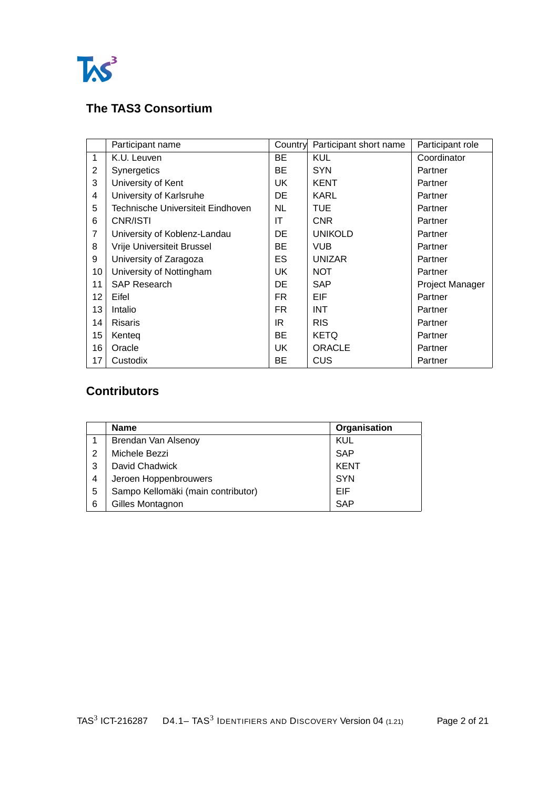

## **The TAS3 Consortium**

|                | Participant name                   | Country | Participant short name | Participant role |
|----------------|------------------------------------|---------|------------------------|------------------|
| $\mathbf{1}$   | K.U. Leuven                        | BE      | <b>KUL</b>             | Coordinator      |
| $\overline{2}$ | Synergetics                        | BE      | <b>SYN</b>             | Partner          |
| 3              | University of Kent                 | UK      | <b>KENT</b>            | Partner          |
| 4              | University of Karlsruhe            | DE      | KARL                   | Partner          |
| 5              | Technische Universiteit Eindhoven. | NL.     | TUE                    | Partner          |
| 6              | CNR/ISTI                           | ΙT      | <b>CNR</b>             | Partner          |
| 7              | University of Koblenz-Landau       | DE      | <b>UNIKOLD</b>         | Partner          |
| 8              | Vrije Universiteit Brussel         | BE      | <b>VUB</b>             | Partner          |
| 9              | University of Zaragoza             | ES      | <b>UNIZAR</b>          | Partner          |
| 10             | University of Nottingham           | UK      | <b>NOT</b>             | Partner          |
| 11             | <b>SAP Research</b>                | DE      | <b>SAP</b>             | Project Manager  |
| 12             | Eifel                              | FR.     | EIF                    | Partner          |
| 13             | Intalio                            | FR.     | <b>INT</b>             | Partner          |
| 14             | <b>Risaris</b>                     | IR.     | <b>RIS</b>             | Partner          |
| 15             | Kenteg                             | BE      | <b>KETQ</b>            | Partner          |
| 16             | Oracle                             | UK.     | <b>ORACLE</b>          | Partner          |
| 17             | Custodix                           | BЕ      | CUS                    | Partner          |

## **Contributors**

|   | <b>Name</b>                        | Organisation |
|---|------------------------------------|--------------|
|   | Brendan Van Alsenoy                | KUL          |
| 2 | Michele Bezzi                      | SAP          |
| 3 | David Chadwick                     | <b>KENT</b>  |
| 4 | Jeroen Hoppenbrouwers              | <b>SYN</b>   |
| 5 | Sampo Kellomäki (main contributor) | EIF          |
| 6 | Gilles Montagnon                   | <b>SAP</b>   |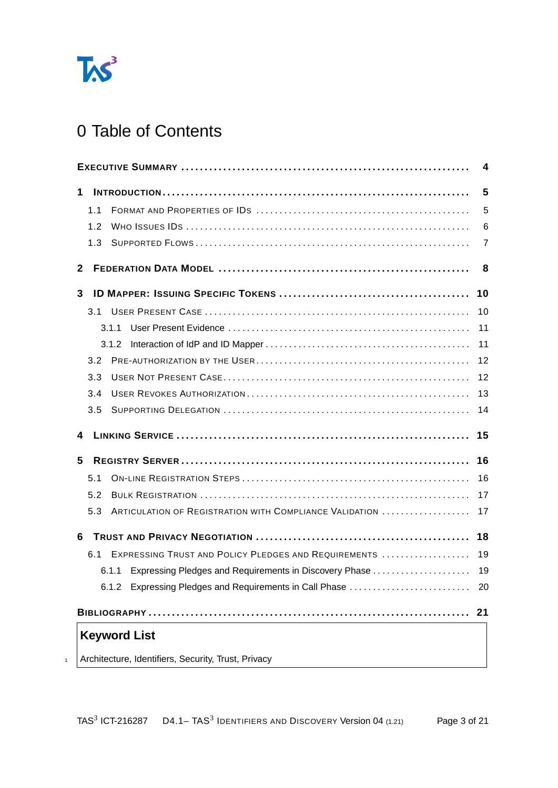

# 0 Table of Contents

<span id="page-2-0"></span>

|                                                                | 4  |
|----------------------------------------------------------------|----|
| 1                                                              | 5  |
| 1.1                                                            | 5  |
| 1.2                                                            | 6  |
| 1.3                                                            | 7  |
| $\mathbf{2}$                                                   | 8  |
| 3                                                              | 10 |
|                                                                | 10 |
| 3.1.1                                                          | 11 |
|                                                                | 11 |
| 3.2                                                            | 12 |
| 3.3                                                            | 12 |
| 3.4                                                            | 13 |
| 3.5                                                            | 14 |
| 4                                                              | 15 |
| 5                                                              | 16 |
| 5.1                                                            | 16 |
| 5.2                                                            | 17 |
| ARTICULATION OF REGISTRATION WITH COMPLIANCE VALIDATION<br>5.3 | 17 |
| 6                                                              | 18 |
| EXPRESSING TRUST AND POLICY PLEDGES AND REQUIREMENTS<br>6.1    | 19 |
| 6.1.1 Expressing Pledges and Requirements in Discovery Phase   | 19 |
| 6.1.2 Expressing Pledges and Requirements in Call Phase        | 20 |
|                                                                | 21 |
| <b>Keyword List</b>                                            |    |
| Architecture, Identifiers, Security, Trust, Privacy            |    |
|                                                                |    |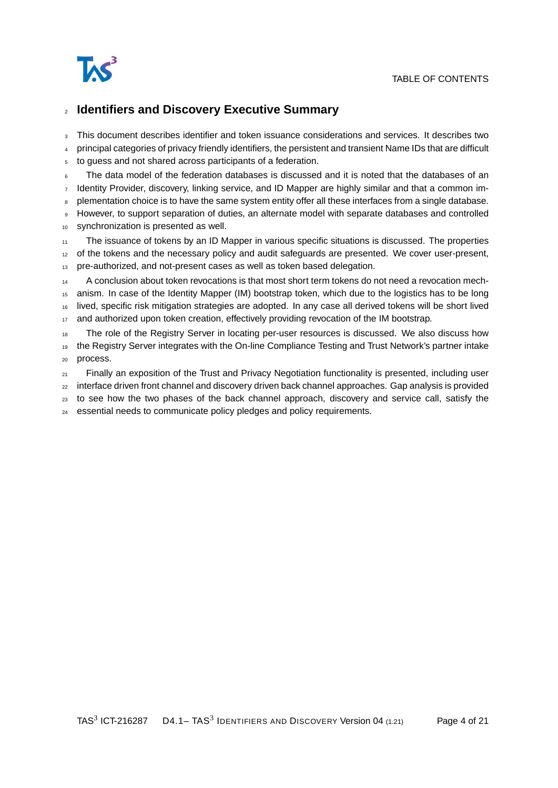

#### <sup>2</sup> **Identifiers and Discovery Executive Summary**

<sup>3</sup> This document describes identifier and token issuance considerations and services. It describes two

<sup>4</sup> principal categories of privacy friendly identifiers, the persistent and transient Name IDs that are difficult

<sup>5</sup> to guess and not shared across participants of a federation.

The data model of the federation databases is discussed and it is noted that the databases of an Identity Provider, discovery, linking service, and ID Mapper are highly similar and that a common im-

plementation choice is to have the same system entity offer all these interfaces from a single database.

However, to support separation of duties, an alternate model with separate databases and controlled

<sup>10</sup> synchronization is presented as well.

The issuance of tokens by an ID Mapper in various specific situations is discussed. The properties

<sup>12</sup> of the tokens and the necessary policy and audit safeguards are presented. We cover user-present,

<sup>13</sup> pre-authorized, and not-present cases as well as token based delegation.

<sup>14</sup> A conclusion about token revocations is that most short term tokens do not need a revocation mech-

anism. In case of the Identity Mapper (IM) bootstrap token, which due to the logistics has to be long

<sup>16</sup> lived, specific risk mitigation strategies are adopted. In any case all derived tokens will be short lived

17 and authorized upon token creation, effectively providing revocation of the IM bootstrap.

18 The role of the Registry Server in locating per-user resources is discussed. We also discuss how <sup>19</sup> the Registry Server integrates with the On-line Compliance Testing and Trust Network's partner intake <sup>20</sup> process.

 $21$  Finally an exposition of the Trust and Privacy Negotiation functionality is presented, including user

<sup>22</sup> interface driven front channel and discovery driven back channel approaches. Gap analysis is provided

<sub>23</sub> to see how the two phases of the back channel approach, discovery and service call, satisfy the

<sup>24</sup> essential needs to communicate policy pledges and policy requirements.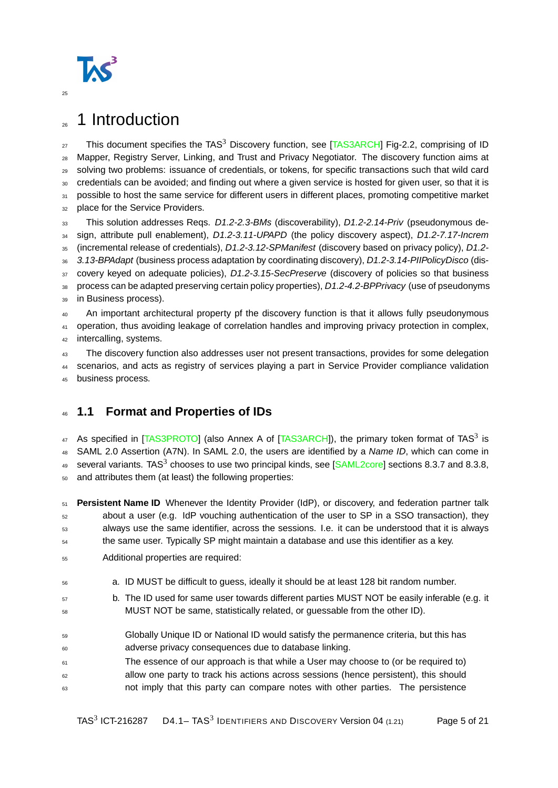

# <span id="page-4-0"></span><sub>26</sub> 1 Introduction

27 This document specifies the TAS<sup>3</sup> Discovery function, see [\[TAS3ARCH\]](#page-20-2) Fig-2.2, comprising of ID <sup>28</sup> Mapper, Registry Server, Linking, and Trust and Privacy Negotiator. The discovery function aims at <sup>29</sup> solving two problems: issuance of credentials, or tokens, for specific transactions such that wild card <sup>30</sup> credentials can be avoided; and finding out where a given service is hosted for given user, so that it is 31 possible to host the same service for different users in different places, promoting competitive market 32 place for the Service Providers. 33 This solution addresses Reqs. D1.2-2.3-BMs (discoverability), D1.2-2.14-Priv (pseudonymous de-

34 sign, attribute pull enablement), D1.2-3.11-UPAPD (the policy discovery aspect), D1.2-7.17-Increm

35 (incremental release of credentials), D1.2-3.12-SPManifest (discovery based on privacy policy), D1.2-

36 3.13-BPAdapt (business process adaptation by coordinating discovery), D1.2-3.14-PIIPolicyDisco (dis-

37 covery keyed on adequate policies), D1.2-3.15-SecPreserve (discovery of policies so that business

38 process can be adapted preserving certain policy properties), D1.2-4.2-BPPrivacy (use of pseudonyms 39 in Business process).

<sup>40</sup> An important architectural property pf the discovery function is that it allows fully pseudonymous <sup>41</sup> operation, thus avoiding leakage of correlation handles and improving privacy protection in complex,

42 intercalling, systems.

43 The discovery function also addresses user not present transactions, provides for some delegation

44 scenarios, and acts as registry of services playing a part in Service Provider compliance validation

<sup>45</sup> business process.

## <span id="page-4-1"></span><sup>46</sup> **1.1 Format and Properties of IDs**

47 As specified in [\[TAS3PROTO\]](#page-20-3) (also Annex A of [\[TAS3ARCH\]](#page-20-2)), the primary token format of TAS<sup>3</sup> is 48 SAML 2.0 Assertion (A7N). In SAML 2.0, the users are identified by a Name ID, which can come in  $_{49}$  several variants. TAS<sup>3</sup> chooses to use two principal kinds, see [\[SAML2core\]](#page-20-4) sections 8.3.7 and 8.3.8, <sup>50</sup> and attributes them (at least) the following properties:

 **Persistent Name ID** Whenever the Identity Provider (IdP), or discovery, and federation partner talk about a user (e.g. IdP vouching authentication of the user to SP in a SSO transaction), they always use the same identifier, across the sessions. I.e. it can be understood that it is always the same user. Typically SP might maintain a database and use this identifier as a key.

- <sup>55</sup> Additional properties are required:
- <sup>56</sup> a. ID MUST be difficult to guess, ideally it should be at least 128 bit random number.
- 57 b. The ID used for same user towards different parties MUST NOT be easily inferable (e.g. it MUST NOT be same, statistically related, or guessable from the other ID).
- <sup>59</sup> Globally Unique ID or National ID would satisfy the permanence criteria, but this has <sup>60</sup> adverse privacy consequences due to database linking.
- <sup>61</sup> The essence of our approach is that while a User may choose to (or be required to) <sup>62</sup> allow one party to track his actions across sessions (hence persistent), this should  $63$  not imply that this party can compare notes with other parties. The persistence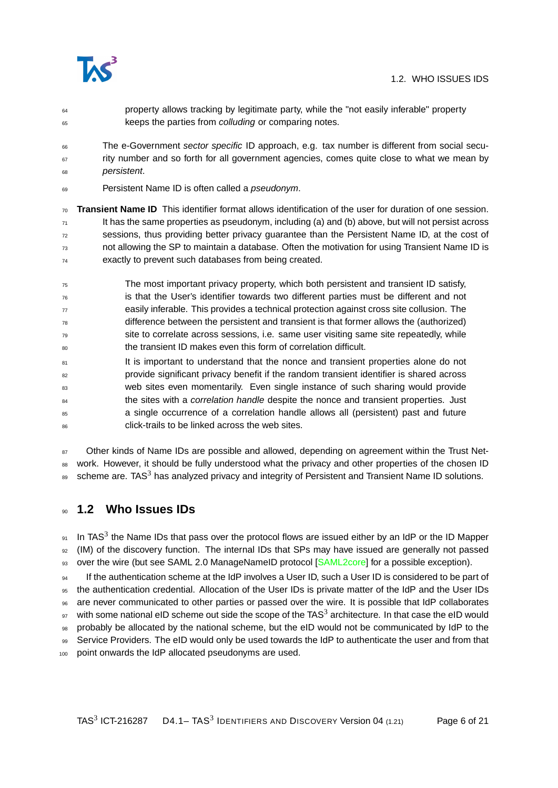

- <sup>64</sup> property allows tracking by legitimate party, while the "not easily inferable" property 65 keeps the parties from colluding or comparing notes.
- The e-Government sector specific ID approach, e.g. tax number is different from social secu- $67$  rity number and so forth for all government agencies, comes quite close to what we mean by <sup>68</sup> persistent.
- 69 Persistent Name ID is often called a *pseudonym*.
- <sup>70</sup> **Transient Name ID** This identifier format allows identification of the user for duration of one session.  $<sub>71</sub>$  It has the same properties as pseudonym, including (a) and (b) above, but will not persist across</sub>  $72$  sessions, thus providing better privacy guarantee than the Persistent Name ID, at the cost of <sup>73</sup> not allowing the SP to maintain a database. Often the motivation for using Transient Name ID is <sup>74</sup> exactly to prevent such databases from being created.
- <sup>75</sup> The most important privacy property, which both persistent and transient ID satisfy,  $76$  is that the User's identifier towards two different parties must be different and not  $77$  easily inferable. This provides a technical protection against cross site collusion. The difference between the persistent and transient is that former allows the (authorized) <sup>79</sup> site to correlate across sessions, i.e. same user visiting same site repeatedly, while <sup>80</sup> the transient ID makes even this form of correlation difficult.
- 81 It is important to understand that the nonce and transient properties alone do not <sup>82</sup> provide significant privacy benefit if the random transient identifier is shared across 83 web sites even momentarily. Even single instance of such sharing would provide <sup>84</sup> the sites with a *correlation handle* despite the nonce and transient properties. Just <sup>85</sup> a single occurrence of a correlation handle allows all (persistent) past and future 86 click-trails to be linked across the web sites.

87 Other kinds of Name IDs are possible and allowed, depending on agreement within the Trust Net-88 work. However, it should be fully understood what the privacy and other properties of the chosen ID  $_{89}$  scheme are. TAS<sup>3</sup> has analyzed privacy and integrity of Persistent and Transient Name ID solutions.

### <span id="page-5-0"></span><sup>90</sup> **1.2 Who Issues IDs**

 $91$  In TAS<sup>3</sup> the Name IDs that pass over the protocol flows are issued either by an IdP or the ID Mapper <sup>92</sup> (IM) of the discovery function. The internal IDs that SPs may have issued are generally not passed 93 over the wire (but see SAML 2.0 ManageNameID protocol [\[SAML2core\]](#page-20-4) for a possible exception).

If the authentication scheme at the IdP involves a User ID, such a User ID is considered to be part of <sup>95</sup> the authentication credential. Allocation of the User IDs is private matter of the IdP and the User IDs <sup>96</sup> are never communicated to other parties or passed over the wire. It is possible that IdP collaborates  $_{97}$  with some national eID scheme out side the scope of the TAS<sup>3</sup> architecture. In that case the eID would <sup>98</sup> probably be allocated by the national scheme, but the eID would not be communicated by IdP to the 99 Service Providers. The eID would only be used towards the IdP to authenticate the user and from that point onwards the IdP allocated pseudonyms are used.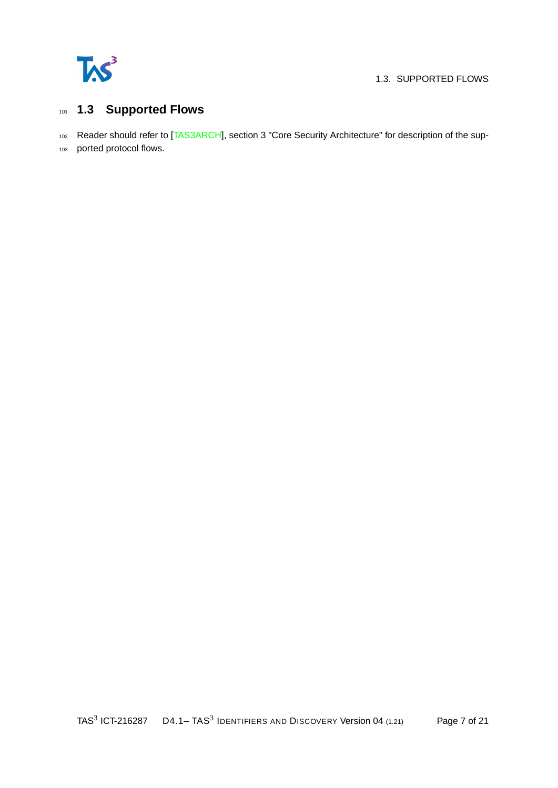

#### 1.3. SUPPORTED FLOWS

## <span id="page-6-0"></span><sup>101</sup> **1.3 Supported Flows**

102 Reader should refer to [\[TAS3ARCH\]](#page-20-2), section 3 "Core Security Architecture" for description of the sup-

<sup>103</sup> ported protocol flows.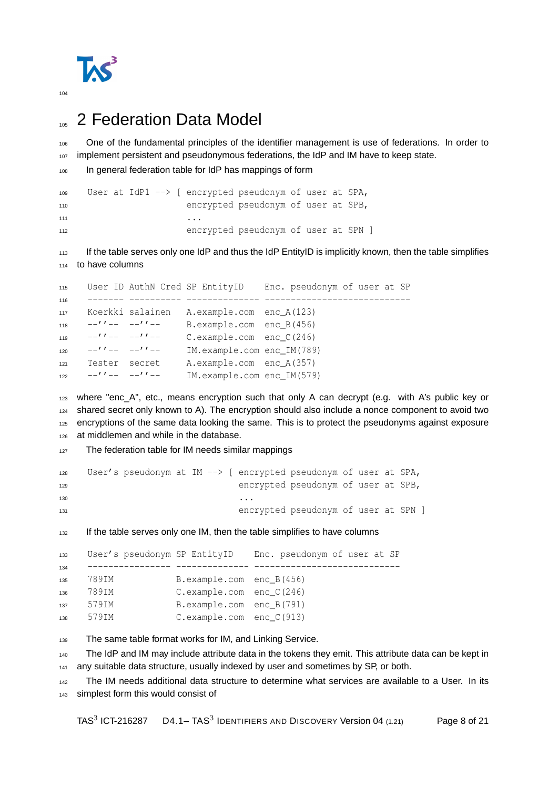

# <span id="page-7-0"></span><sup>105</sup> 2 Federation Data Model

106 One of the fundamental principles of the identifier management is use of federations. In order to 107 implement persistent and pseudonymous federations, the IdP and IM have to keep state.

```
108 In general federation table for IdP has mappings of form
```

```
109 User at IdP1 --> [ encrypted pseudonym of user at SPA,
110 encrypted pseudonym of user at SPB,
\mathbf{111} ...
112 encrypted pseudonym of user at SPN ]
```
 If the table serves only one IdP and thus the IdP EntityID is implicitly known, then the table simplifies to have columns

```
115 User ID AuthN Cred SP EntityID Enc. pseudonym of user at SP
116 ------- ---------- -------------- ----------------------------
117 Koerkki salainen A.example.com enc_A(123)
118 -''-- -''-- B.example.com enc B(456)
119 -''-- -''-- C.example.com enc_C(246)
120 -''-- -''-- IM.example.com enc_IM(789)
121 Tester secret A.example.com enc_A(357)
122 -1''-- -1''-- IM.example.com enc IM(579)
```

```
123 where "enc_A", etc., means encryption such that only A can decrypt (e.g. with A's public key or
124 shared secret only known to A). The encryption should also include a nonce component to avoid two
125 encryptions of the same data looking the same. This is to protect the pseudonyms against exposure
126 at middlemen and while in the database.
```
127 The federation table for IM needs similar mappings

```
128 User's pseudonym at IM --> [ encrypted pseudonym of user at SPA,
129 encrypted pseudonym of user at SPB,
130 ...
131 encrypted pseudonym of user at SPN ]
```
<sup>132</sup> If the table serves only one IM, then the table simplifies to have columns

```
133 User's pseudonym SP EntityID Enc. pseudonym of user at SP
134 ---------------- -------------- ----------------------------
135 789IM B.example.com enc_B(456)
136 789IM C.example.com enc_C(246)
137 579IM B.example.com enc_B(791)
138 579IM C.example.com enc_C(913)
```
139 The same table format works for IM, and Linking Service.

140 The IdP and IM may include attribute data in the tokens they emit. This attribute data can be kept in 141 any suitable data structure, usually indexed by user and sometimes by SP, or both.

142 The IM needs additional data structure to determine what services are available to a User. In its simplest form this would consist of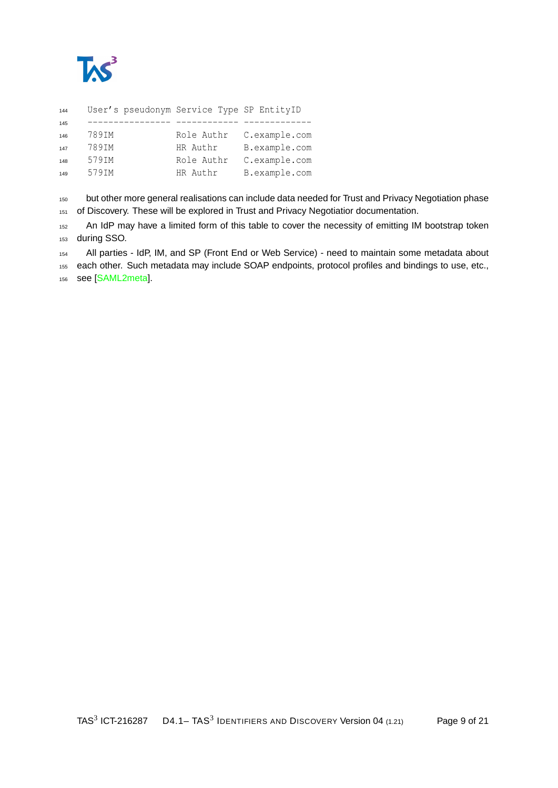

| 144 | User's pseudonym Service Type SP EntityID |            |               |
|-----|-------------------------------------------|------------|---------------|
| 145 |                                           |            |               |
| 146 | 789IM                                     | Role Authr | C.example.com |
| 147 | 789IM                                     | HR Authr   | B.example.com |
| 148 | 579IM                                     | Role Authr | C.example.com |
| 149 | 579IM                                     | HR Authr   | B.example.com |
|     |                                           |            |               |

150 but other more general realisations can include data needed for Trust and Privacy Negotiation phase of Discovery. These will be explored in Trust and Privacy Negotiatior documentation.

152 An IdP may have a limited form of this table to cover the necessity of emitting IM bootstrap token during SSO.

All parties - IdP, IM, and SP (Front End or Web Service) - need to maintain some metadata about

each other. Such metadata may include SOAP endpoints, protocol profiles and bindings to use, etc.,

see [\[SAML2meta\]](#page-20-5).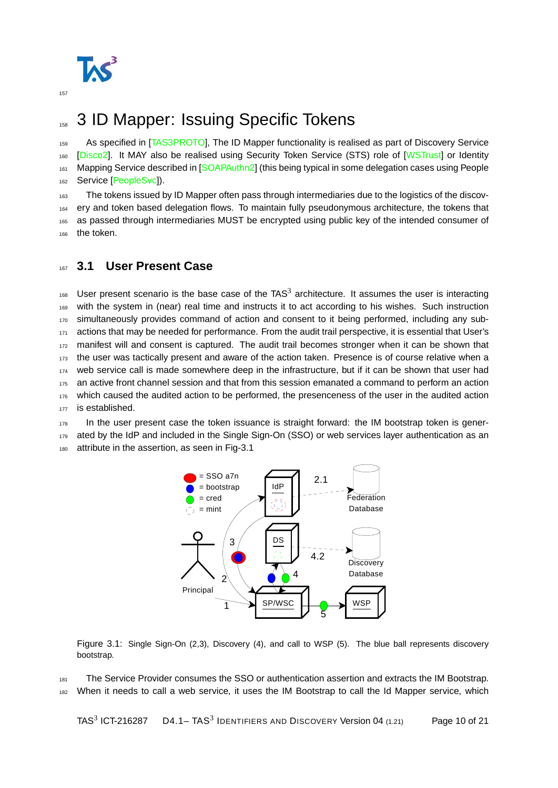

# <span id="page-9-0"></span>158 3 ID Mapper: Issuing Specific Tokens

159 As specified in [\[TAS3PROTO\]](#page-20-3), The ID Mapper functionality is realised as part of Discovery Service 160 [\[Disco2\]](#page-20-6). It MAY also be realised using Security Token Service (STS) role of [\[WSTrust\]](#page-20-7) or Identity 161 Mapping Service described in [\[SOAPAuthn2\]](#page-20-8) (this being typical in some delegation cases using People 162 Service [\[PeopleSvc\]](#page-20-9)).

163 The tokens issued by ID Mapper often pass through intermediaries due to the logistics of the discov-<sup>164</sup> ery and token based delegation flows. To maintain fully pseudonymous architecture, the tokens that <sup>165</sup> as passed through intermediaries MUST be encrypted using public key of the intended consumer of 166 the token.

#### <span id="page-9-1"></span><sup>167</sup> **3.1 User Present Case**

 $168$  User present scenario is the base case of the TAS<sup>3</sup> architecture. It assumes the user is interacting <sup>169</sup> with the system in (near) real time and instructs it to act according to his wishes. Such instruction 170 simultaneously provides command of action and consent to it being performed, including any sub-171 actions that may be needed for performance. From the audit trail perspective, it is essential that User's 172 manifest will and consent is captured. The audit trail becomes stronger when it can be shown that <sup>173</sup> the user was tactically present and aware of the action taken. Presence is of course relative when a <sup>174</sup> web service call is made somewhere deep in the infrastructure, but if it can be shown that user had <sup>175</sup> an active front channel session and that from this session emanated a command to perform an action 176 which caused the audited action to be performed, the presenceness of the user in the audited action 177 is established.

<sup>178</sup> In the user present case the token issuance is straight forward: the IM bootstrap token is gener-179 ated by the IdP and included in the Single Sign-On (SSO) or web services layer authentication as an 180 attribute in the assertion, as seen in Fig[-3.1](#page-9-2)



<span id="page-9-2"></span>Figure 3.1: Single Sign-On (2,3), Discovery (4), and call to WSP (5). The blue ball represents discovery bootstrap.

181 The Service Provider consumes the SSO or authentication assertion and extracts the IM Bootstrap. <sup>182</sup> When it needs to call a web service, it uses the IM Bootstrap to call the Id Mapper service, which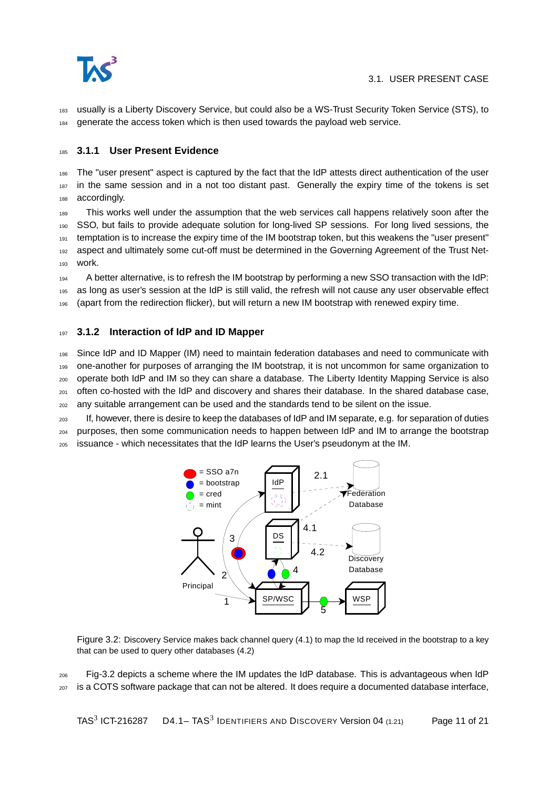

<sup>183</sup> usually is a Liberty Discovery Service, but could also be a WS-Trust Security Token Service (STS), to <sup>184</sup> generate the access token which is then used towards the payload web service.

#### <span id="page-10-0"></span><sup>185</sup> **3.1.1 User Present Evidence**

<sup>186</sup> The "user present" aspect is captured by the fact that the IdP attests direct authentication of the user 187 in the same session and in a not too distant past. Generally the expiry time of the tokens is set 188 accordingly.

<sup>189</sup> This works well under the assumption that the web services call happens relatively soon after the <sup>190</sup> SSO, but fails to provide adequate solution for long-lived SP sessions. For long lived sessions, the <sup>191</sup> temptation is to increase the expiry time of the IM bootstrap token, but this weakens the "user present" 192 aspect and ultimately some cut-off must be determined in the Governing Agreement of the Trust Net-<sup>193</sup> work.

<sup>194</sup> A better alternative, is to refresh the IM bootstrap by performing a new SSO transaction with the IdP: <sup>195</sup> as long as user's session at the IdP is still valid, the refresh will not cause any user observable effect <sup>196</sup> (apart from the redirection flicker), but will return a new IM bootstrap with renewed expiry time.

#### <span id="page-10-1"></span><sup>197</sup> **3.1.2 Interaction of IdP and ID Mapper**

 Since IdP and ID Mapper (IM) need to maintain federation databases and need to communicate with one-another for purposes of arranging the IM bootstrap, it is not uncommon for same organization to operate both IdP and IM so they can share a database. The Liberty Identity Mapping Service is also  $_{201}$  often co-hosted with the IdP and discovery and shares their database. In the shared database case, any suitable arrangement can be used and the standards tend to be silent on the issue.

<sup>203</sup> If, however, there is desire to keep the databases of IdP and IM separate, e.g. for separation of duties <sup>204</sup> purposes, then some communication needs to happen between IdP and IM to arrange the bootstrap <sup>205</sup> issuance - which necessitates that the IdP learns the User's pseudonym at the IM.



<span id="page-10-2"></span>Figure 3.2: Discovery Service makes back channel query (4.1) to map the Id received in the bootstrap to a key that can be used to query other databases (4.2)

<sup>206</sup> Fig[-3.2](#page-10-2) depicts a scheme where the IM updates the IdP database. This is advantageous when IdP <sup>207</sup> is a COTS software package that can not be altered. It does require a documented database interface,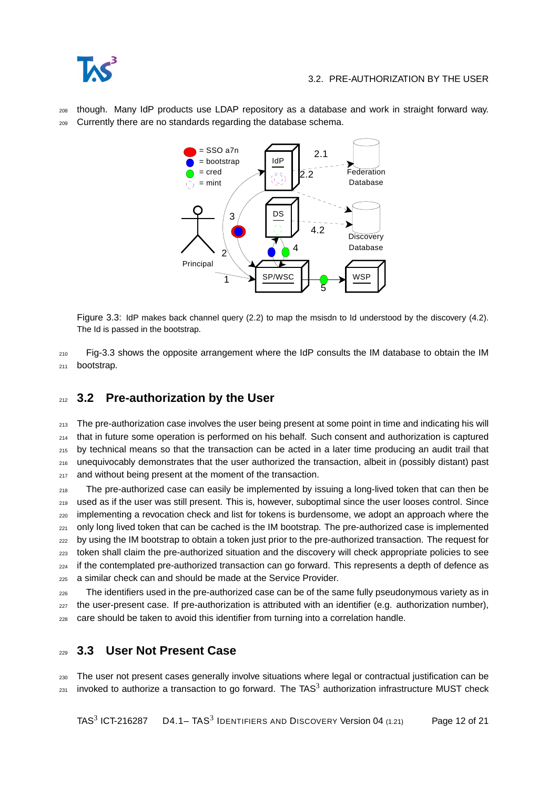<sup>208</sup> though. Many IdP products use LDAP repository as a database and work in straight forward way. <sup>209</sup> Currently there are no standards regarding the database schema.



<span id="page-11-2"></span>Figure 3.3: IdP makes back channel query (2.2) to map the msisdn to Id understood by the discovery (4.2). The Id is passed in the bootstrap.

 $210$  Fig[-3.3](#page-11-2) shows the opposite arrangement where the IdP consults the IM database to obtain the IM <sup>211</sup> bootstrap.

## <span id="page-11-0"></span><sup>212</sup> **3.2 Pre-authorization by the User**

213 The pre-authorization case involves the user being present at some point in time and indicating his will <sup>214</sup> that in future some operation is performed on his behalf. Such consent and authorization is captured <sup>215</sup> by technical means so that the transaction can be acted in a later time producing an audit trail that <sup>216</sup> unequivocably demonstrates that the user authorized the transaction, albeit in (possibly distant) past 217 and without being present at the moment of the transaction.

<sub>218</sub> The pre-authorized case can easily be implemented by issuing a long-lived token that can then be <sup>219</sup> used as if the user was still present. This is, however, suboptimal since the user looses control. Since <sub>220</sub> implementing a revocation check and list for tokens is burdensome, we adopt an approach where the 221 only long lived token that can be cached is the IM bootstrap. The pre-authorized case is implemented <sup>222</sup> by using the IM bootstrap to obtain a token just prior to the pre-authorized transaction. The request for <sup>223</sup> token shall claim the pre-authorized situation and the discovery will check appropriate policies to see <sub>224</sub> if the contemplated pre-authorized transaction can go forward. This represents a depth of defence as <sup>225</sup> a similar check can and should be made at the Service Provider.

<sub>226</sub> The identifiers used in the pre-authorized case can be of the same fully pseudonymous variety as in <sup>227</sup> the user-present case. If pre-authorization is attributed with an identifier (e.g. authorization number), <sup>228</sup> care should be taken to avoid this identifier from turning into a correlation handle.

### <span id="page-11-1"></span><sup>229</sup> **3.3 User Not Present Case**

<sup>230</sup> The user not present cases generally involve situations where legal or contractual justification can be  $_{231}$  invoked to authorize a transaction to go forward. The TAS<sup>3</sup> authorization infrastructure MUST check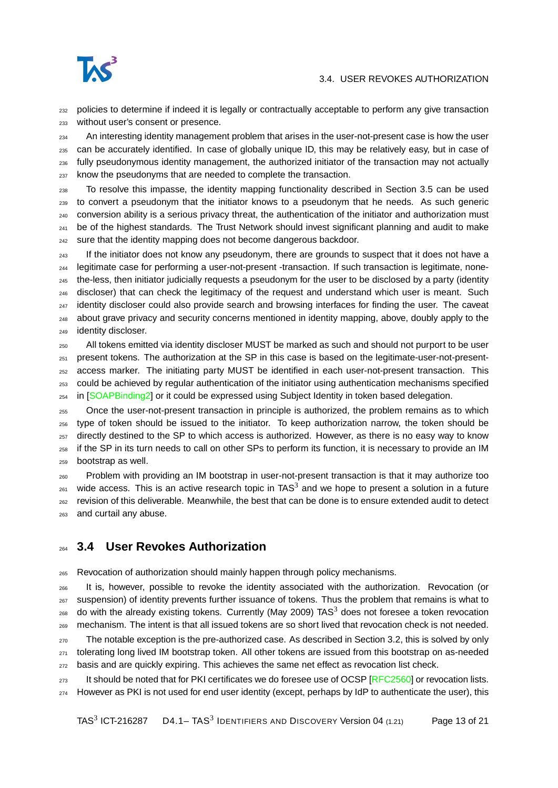

#### 3.4. USER REVOKES AUTHORIZATION

<sub>232</sub> policies to determine if indeed it is legally or contractually acceptable to perform any give transaction without user's consent or presence.

<sub>234</sub> An interesting identity management problem that arises in the user-not-present case is how the user can be accurately identified. In case of globally unique ID, this may be relatively easy, but in case of fully pseudonymous identity management, the authorized initiator of the transaction may not actually know the pseudonyms that are needed to complete the transaction.

 To resolve this impasse, the identity mapping functionality described in Section [3.5](#page-13-0) can be used to convert a pseudonym that the initiator knows to a pseudonym that he needs. As such generic conversion ability is a serious privacy threat, the authentication of the initiator and authorization must  $_{241}$  be of the highest standards. The Trust Network should invest significant planning and audit to make <sup>242</sup> sure that the identity mapping does not become dangerous backdoor.

<sup>243</sup> If the initiator does not know any pseudonym, there are grounds to suspect that it does not have a legitimate case for performing a user-not-present -transaction. If such transaction is legitimate, none- the-less, then initiator judicially requests a pseudonym for the user to be disclosed by a party (identity discloser) that can check the legitimacy of the request and understand which user is meant. Such <sup>247</sup> identity discloser could also provide search and browsing interfaces for finding the user. The caveat about grave privacy and security concerns mentioned in identity mapping, above, doubly apply to the identity discloser.

 All tokens emitted via identity discloser MUST be marked as such and should not purport to be user present tokens. The authorization at the SP in this case is based on the legitimate-user-not-present- access marker. The initiating party MUST be identified in each user-not-present transaction. This could be achieved by regular authentication of the initiator using authentication mechanisms specified 254 in [\[SOAPBinding2\]](#page-20-10) or it could be expressed using Subject Identity in token based delegation.

 Once the user-not-present transaction in principle is authorized, the problem remains as to which type of token should be issued to the initiator. To keep authorization narrow, the token should be 257 directly destined to the SP to which access is authorized. However, as there is no easy way to know if the SP in its turn needs to call on other SPs to perform its function, it is necessary to provide an IM bootstrap as well.

 Problem with providing an IM bootstrap in user-not-present transaction is that it may authorize too  $_{261}$  wide access. This is an active research topic in TAS<sup>3</sup> and we hope to present a solution in a future revision of this deliverable. Meanwhile, the best that can be done is to ensure extended audit to detect and curtail any abuse.

### <span id="page-12-0"></span>**3.4 User Revokes Authorization**

Revocation of authorization should mainly happen through policy mechanisms.

 It is, however, possible to revoke the identity associated with the authorization. Revocation (or suspension) of identity prevents further issuance of tokens. Thus the problem that remains is what to  $_{268}$  do with the already existing tokens. Currently (May 2009) TAS<sup>3</sup> does not foresee a token revocation mechanism. The intent is that all issued tokens are so short lived that revocation check is not needed.

<sub>270</sub> The notable exception is the pre-authorized case. As described in Section [3.2,](#page-11-0) this is solved by only tolerating long lived IM bootstrap token. All other tokens are issued from this bootstrap on as-needed 272 basis and are quickly expiring. This achieves the same net effect as revocation list check.

273 It should be noted that for PKI certificates we do foresee use of OCSP [\[RFC2560\]](#page-20-11) or revocation lists. However as PKI is not used for end user identity (except, perhaps by IdP to authenticate the user), this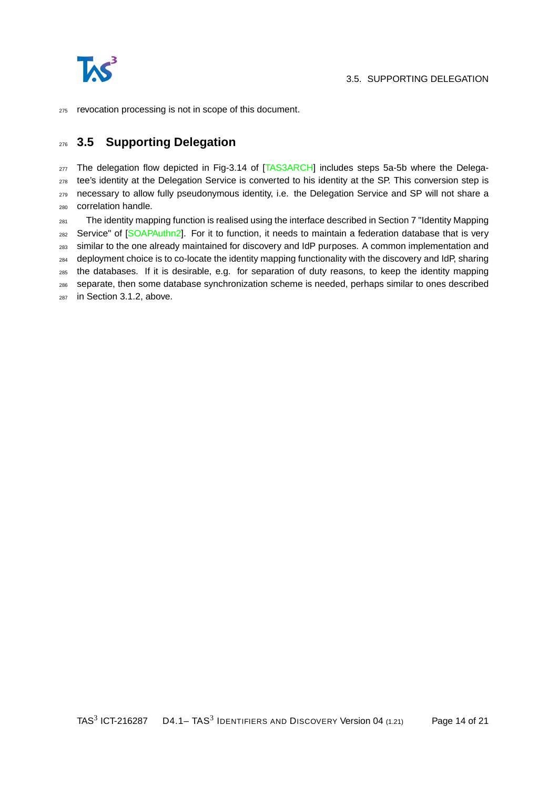

revocation processing is not in scope of this document.

## <span id="page-13-0"></span>**3.5 Supporting Delegation**

<sub>277</sub> The delegation flow depicted in Fig-3.14 of [\[TAS3ARCH\]](#page-20-2) includes steps 5a-5b where the Delega-<sub>278</sub> tee's identity at the Delegation Service is converted to his identity at the SP. This conversion step is 279 necessary to allow fully pseudonymous identity, i.e. the Delegation Service and SP will not share a correlation handle.

 The identity mapping function is realised using the interface described in Section 7 "Identity Mapping 282 Service" of [\[SOAPAuthn2\]](#page-20-8). For it to function, it needs to maintain a federation database that is very similar to the one already maintained for discovery and IdP purposes. A common implementation and deployment choice is to co-locate the identity mapping functionality with the discovery and IdP, sharing the databases. If it is desirable, e.g. for separation of duty reasons, to keep the identity mapping separate, then some database synchronization scheme is needed, perhaps similar to ones described in Section [3.1.2,](#page-10-1) above.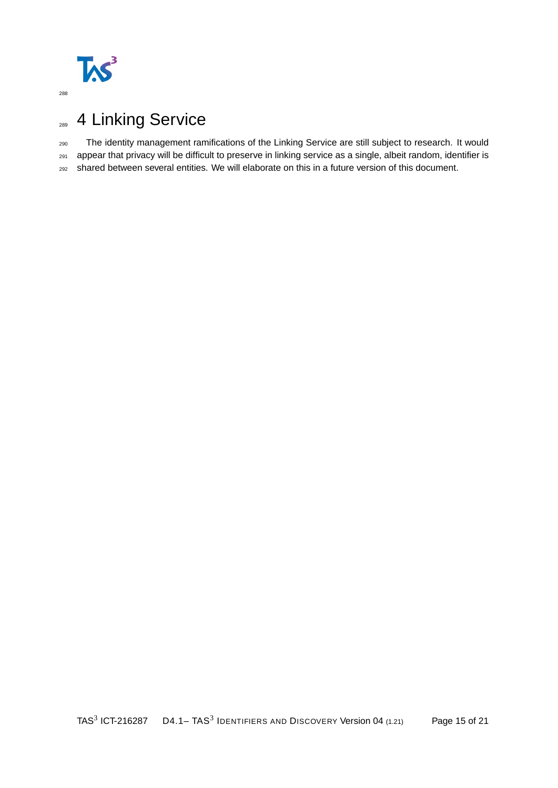

# <span id="page-14-0"></span>289 4 Linking Service

The identity management ramifications of the Linking Service are still subject to research. It would

appear that privacy will be difficult to preserve in linking service as a single, albeit random, identifier is

shared between several entities. We will elaborate on this in a future version of this document.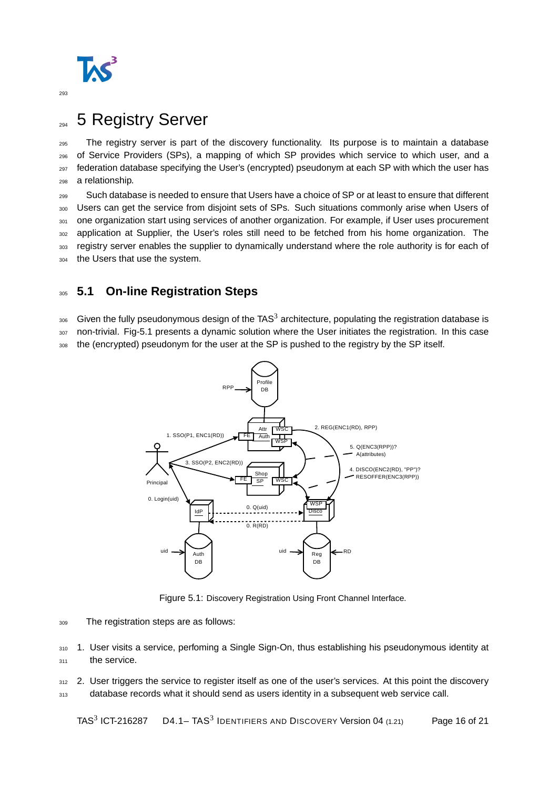

# <span id="page-15-0"></span><sub>294</sub> 5 Registry Server

 The registry server is part of the discovery functionality. Its purpose is to maintain a database of Service Providers (SPs), a mapping of which SP provides which service to which user, and a federation database specifying the User's (encrypted) pseudonym at each SP with which the user has a relationship.

<sup>299</sup> Such database is needed to ensure that Users have a choice of SP or at least to ensure that different <sup>300</sup> Users can get the service from disjoint sets of SPs. Such situations commonly arise when Users of 301 one organization start using services of another organization. For example, if User uses procurement <sub>302</sub> application at Supplier, the User's roles still need to be fetched from his home organization. The 303 registry server enables the supplier to dynamically understand where the role authority is for each of 304 the Users that use the system.

## <span id="page-15-1"></span><sup>305</sup> **5.1 On-line Registration Steps**

 $_{306}$  Given the fully pseudonymous design of the TAS<sup>3</sup> architecture, populating the registration database is <sup>307</sup> non-trivial. Fig[-5.1](#page-15-2) presents a dynamic solution where the User initiates the registration. In this case

308 the (encrypted) pseudonym for the user at the SP is pushed to the registry by the SP itself.



<span id="page-15-2"></span>Figure 5.1: Discovery Registration Using Front Channel Interface.

<sup>309</sup> The registration steps are as follows:

310 1. User visits a service, perfoming a Single Sign-On, thus establishing his pseudonymous identity at 311 the service.

312 2. User triggers the service to register itself as one of the user's services. At this point the discovery 313 database records what it should send as users identity in a subsequent web service call.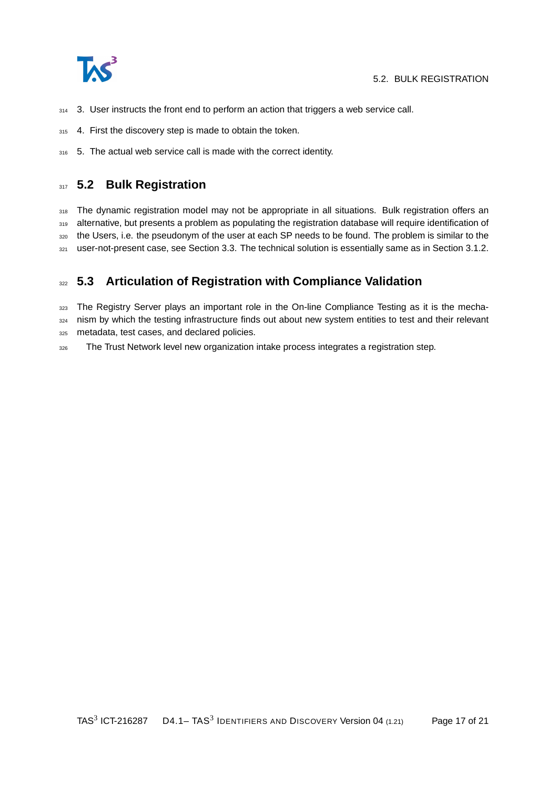

- $314$  3. User instructs the front end to perform an action that triggers a web service call.
- 315 4. First the discovery step is made to obtain the token.
- 316 5. The actual web service call is made with the correct identity.

#### <span id="page-16-0"></span>**317 5.2 Bulk Registration**

318 The dynamic registration model may not be appropriate in all situations. Bulk registration offers an 319 alternative, but presents a problem as populating the registration database will require identification of 320 the Users, i.e. the pseudonym of the user at each SP needs to be found. The problem is similar to the 321 user-not-present case, see Section [3.3.](#page-11-1) The technical solution is essentially same as in Section [3.1.2.](#page-10-1)

### <span id="page-16-1"></span><sup>322</sup> **5.3 Articulation of Registration with Compliance Validation**

323 The Registry Server plays an important role in the On-line Compliance Testing as it is the mecha-324 nism by which the testing infrastructure finds out about new system entities to test and their relevant <sup>325</sup> metadata, test cases, and declared policies.

326 The Trust Network level new organization intake process integrates a registration step.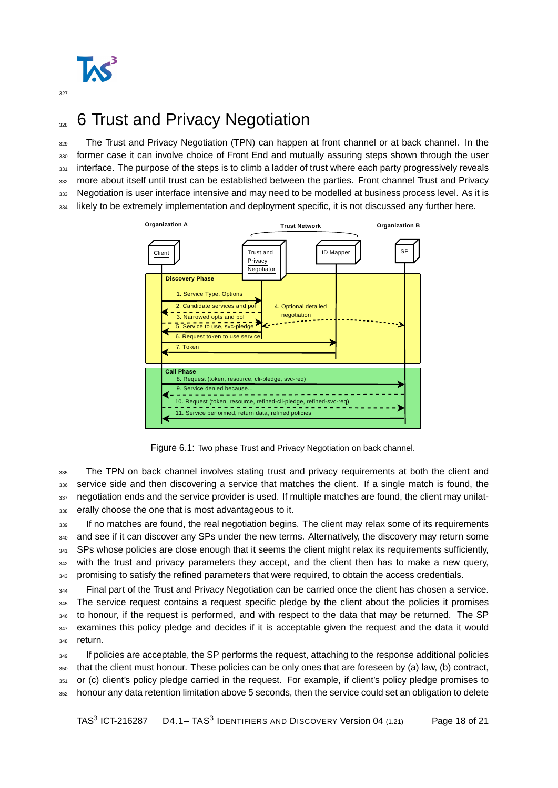

# <span id="page-17-0"></span><sup>328</sup> 6 Trust and Privacy Negotiation

<sup>329</sup> The Trust and Privacy Negotiation (TPN) can happen at front channel or at back channel. In the <sup>330</sup> former case it can involve choice of Front End and mutually assuring steps shown through the user 331 interface. The purpose of the steps is to climb a ladder of trust where each party progressively reveals 332 more about itself until trust can be established between the parties. Front channel Trust and Privacy 333 Negotiation is user interface intensive and may need to be modelled at business process level. As it is 334 likely to be extremely implementation and deployment specific, it is not discussed any further here.



Figure 6.1: Two phase Trust and Privacy Negotiation on back channel.

<sub>335</sub> The TPN on back channel involves stating trust and privacy requirements at both the client and 336 service side and then discovering a service that matches the client. If a single match is found, the 337 negotiation ends and the service provider is used. If multiple matches are found, the client may unilat-<sup>338</sup> erally choose the one that is most advantageous to it.

<sup>339</sup> If no matches are found, the real negotiation begins. The client may relax some of its requirements 340 and see if it can discover any SPs under the new terms. Alternatively, the discovery may return some 341 SPs whose policies are close enough that it seems the client might relax its requirements sufficiently,  $342$  with the trust and privacy parameters they accept, and the client then has to make a new query, 343 promising to satisfy the refined parameters that were required, to obtain the access credentials.

<sup>344</sup> Final part of the Trust and Privacy Negotiation can be carried once the client has chosen a service. <sup>345</sup> The service request contains a request specific pledge by the client about the policies it promises <sup>346</sup> to honour, if the request is performed, and with respect to the data that may be returned. The SP 347 examines this policy pledge and decides if it is acceptable given the request and the data it would <sup>348</sup> return.

<sup>349</sup> If policies are acceptable, the SP performs the request, attaching to the response additional policies <sup>350</sup> that the client must honour. These policies can be only ones that are foreseen by (a) law, (b) contract, 351 or (c) client's policy pledge carried in the request. For example, if client's policy pledge promises to <sup>352</sup> honour any data retention limitation above 5 seconds, then the service could set an obligation to delete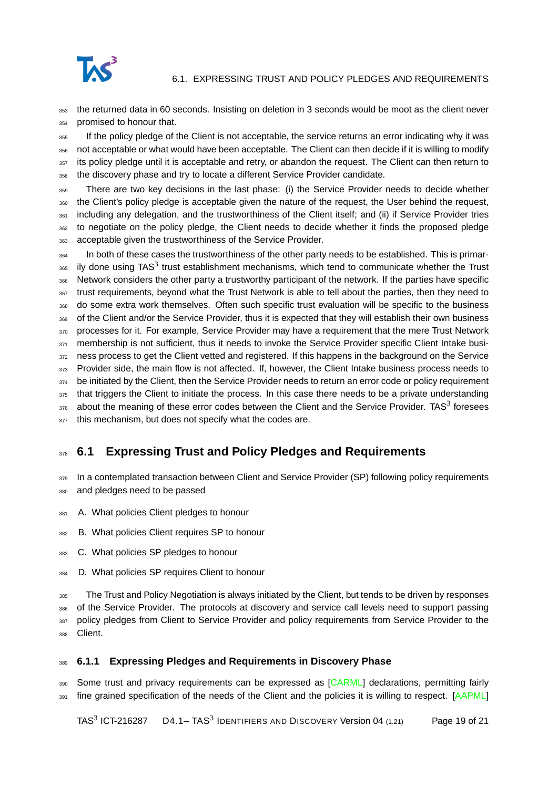

#### 6.1. EXPRESSING TRUST AND POLICY PLEDGES AND REQUIREMENTS

<sup>353</sup> the returned data in 60 seconds. Insisting on deletion in 3 seconds would be moot as the client never <sup>354</sup> promised to honour that.

 If the policy pledge of the Client is not acceptable, the service returns an error indicating why it was not acceptable or what would have been acceptable. The Client can then decide if it is willing to modify 357 its policy pledge until it is acceptable and retry, or abandon the request. The Client can then return to the discovery phase and try to locate a different Service Provider candidate.

<sup>359</sup> There are two key decisions in the last phase: (i) the Service Provider needs to decide whether <sup>360</sup> the Client's policy pledge is acceptable given the nature of the request, the User behind the request, 361 including any delegation, and the trustworthiness of the Client itself; and (ii) if Service Provider tries 362 to negotiate on the policy pledge, the Client needs to decide whether it finds the proposed pledge <sup>363</sup> acceptable given the trustworthiness of the Service Provider.

<sup>364</sup> In both of these cases the trustworthiness of the other party needs to be established. This is primar- $365$  ily done using TAS<sup>3</sup> trust establishment mechanisms, which tend to communicate whether the Trust <sup>366</sup> Network considers the other party a trustworthy participant of the network. If the parties have specific <sup>367</sup> trust requirements, beyond what the Trust Network is able to tell about the parties, then they need to <sup>368</sup> do some extra work themselves. Often such specific trust evaluation will be specific to the business <sup>369</sup> of the Client and/or the Service Provider, thus it is expected that they will establish their own business 370 processes for it. For example, Service Provider may have a requirement that the mere Trust Network 371 membership is not sufficient, thus it needs to invoke the Service Provider specific Client Intake busi-372 ness process to get the Client vetted and registered. If this happens in the background on the Service 373 Provider side, the main flow is not affected. If, however, the Client Intake business process needs to  $374$  be initiated by the Client, then the Service Provider needs to return an error code or policy requirement 375 that triggers the Client to initiate the process. In this case there needs to be a private understanding  $376$  about the meaning of these error codes between the Client and the Service Provider. TAS<sup>3</sup> foresees 377 this mechanism, but does not specify what the codes are.

## <span id="page-18-0"></span><sup>378</sup> **6.1 Expressing Trust and Policy Pledges and Requirements**

379 In a contemplated transaction between Client and Service Provider (SP) following policy requirements <sup>380</sup> and pledges need to be passed

- 381 A. What policies Client pledges to honour
- <sup>382</sup> B. What policies Client requires SP to honour
- 383 C. What policies SP pledges to honour
- <sup>384</sup> D. What policies SP requires Client to honour

385 The Trust and Policy Negotiation is always initiated by the Client, but tends to be driven by responses 386 of the Service Provider. The protocols at discovery and service call levels need to support passing 387 policy pledges from Client to Service Provider and policy requirements from Service Provider to the 388 Client.

#### <span id="page-18-1"></span><sup>389</sup> **6.1.1 Expressing Pledges and Requirements in Discovery Phase**

390 Some trust and privacy requirements can be expressed as [\[CARML\]](#page-20-12) declarations, permitting fairly 391 fine grained specification of the needs of the Client and the policies it is willing to respect. [\[AAPML\]](#page-20-13)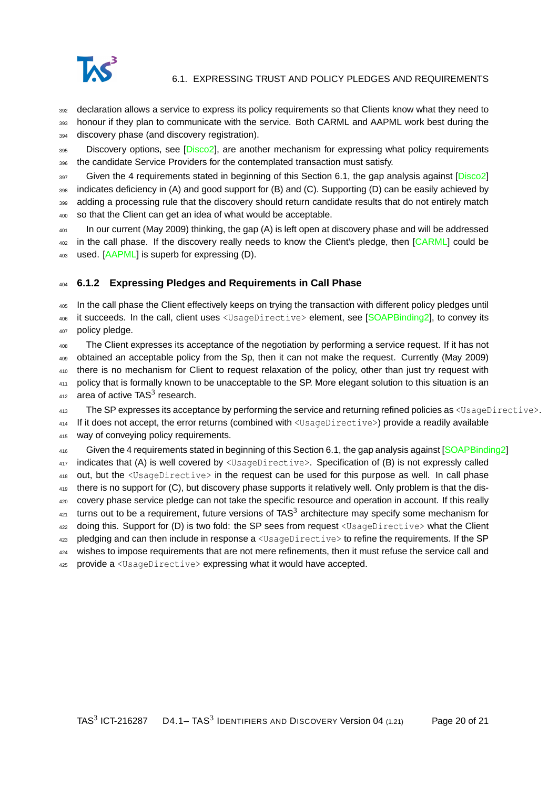

<sup>392</sup> declaration allows a service to express its policy requirements so that Clients know what they need to

<sup>393</sup> honour if they plan to communicate with the service. Both CARML and AAPML work best during the 394 discovery phase (and discovery registration).

395 Discovery options, see [\[Disco2\]](#page-20-6), are another mechanism for expressing what policy requirements <sup>396</sup> the candidate Service Providers for the contemplated transaction must satisfy.

<sup>397</sup> Given the 4 requirements stated in beginning of this Section [6.1,](#page-18-0) the gap analysis against [\[Disco2\]](#page-20-6) <sup>398</sup> indicates deficiency in (A) and good support for (B) and (C). Supporting (D) can be easily achieved by 399 adding a processing rule that the discovery should return candidate results that do not entirely match <sup>400</sup> so that the Client can get an idea of what would be acceptable.

<sup>401</sup> In our current (May 2009) thinking, the gap (A) is left open at discovery phase and will be addressed 402 in the call phase. If the discovery really needs to know the Client's pledge, then [\[CARML\]](#page-20-12) could be 403 used. [\[AAPML\]](#page-20-13) is superb for expressing (D).

#### <span id="page-19-0"></span><sup>404</sup> **6.1.2 Expressing Pledges and Requirements in Call Phase**

<sup>405</sup> In the call phase the Client effectively keeps on trying the transaction with different policy pledges until 406 it succeeds. In the call, client uses <UsageDirective> element, see [\[SOAPBinding2\]](#page-20-10), to convey its 407 policy pledge.

 The Client expresses its acceptance of the negotiation by performing a service request. If it has not obtained an acceptable policy from the Sp, then it can not make the request. Currently (May 2009) there is no mechanism for Client to request relaxation of the policy, other than just try request with 411 policy that is formally known to be unacceptable to the SP. More elegant solution to this situation is an area of active TAS<sup>3</sup> research.

413 The SP expresses its acceptance by performing the service and returning refined policies as <UsageDirective>.

<sup>414</sup> If it does not accept, the error returns (combined with <UsageDirective>) provide a readily available 415 way of conveying policy requirements.

416 Given the 4 requirements stated in beginning of this Section [6.1,](#page-18-0) the gap analysis against [\[SOAPBinding2\]](#page-20-10) 417 indicates that (A) is well covered by <UsageDirective>. Specification of (B) is not expressly called <sup>418</sup> out, but the <UsageDirective> in the request can be used for this purpose as well. In call phase 419 there is no support for (C), but discovery phase supports it relatively well. Only problem is that the dis-420 covery phase service pledge can not take the specific resource and operation in account. If this really  $421$  turns out to be a requirement, future versions of TAS<sup>3</sup> architecture may specify some mechanism for 422 doing this. Support for (D) is two fold: the SP sees from request <UsageDirective> what the Client <sup>423</sup> pledging and can then include in response a <UsageDirective> to refine the requirements. If the SP 424 wishes to impose requirements that are not mere refinements, then it must refuse the service call and

<sup>425</sup> provide a <UsageDirective> expressing what it would have accepted.